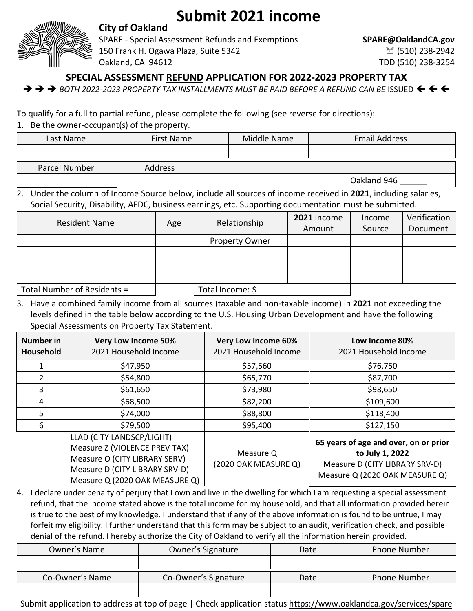

## **Submit 2021 income**

**City of Oakland**

SPARE - Special Assessment Refunds and Exemptions **SPARE@OaklandCA.gov** 150 Frank H. Ogawa Plaza, Suite 5342 (510) 238-2942 Oakland, CA 94612 TDD (510) 238-3254

**SPECIAL ASSESSMENT REFUND APPLICATION FOR 2022-2023 PROPERTY TAX**

➔ ➔ ➔ *BOTH 2022-2023 PROPERTY TAX INSTALLMENTS MUST BE PAID BEFORE A REFUND CAN BE* ISSUED

To qualify for a full to partial refund, please complete the following (see reverse for directions):

1. Be the owner-occupant(s) of the property.

| Last Name     | <b>First Name</b> | Middle Name | <b>Email Address</b> |
|---------------|-------------------|-------------|----------------------|
|               |                   |             |                      |
| Parcel Number | <b>Address</b>    |             |                      |
|               |                   |             | Oakland 946          |

2. Under the column of Income Source below, include all sources of income received in **2021**, including salaries, Social Security, Disability, AFDC, business earnings, etc. Supporting documentation must be submitted.

| <b>Resident Name</b>        | Age | Relationship          | 2021 Income | Income | Verification |
|-----------------------------|-----|-----------------------|-------------|--------|--------------|
|                             |     |                       | Amount      | Source | Document     |
|                             |     | <b>Property Owner</b> |             |        |              |
|                             |     |                       |             |        |              |
|                             |     |                       |             |        |              |
|                             |     |                       |             |        |              |
| Total Number of Residents = |     | Total Income: \$      |             |        |              |

3. Have a combined family income from all sources (taxable and non-taxable income) in **2021** not exceeding the levels defined in the table below according to the U.S. Housing Urban Development and have the following Special Assessments on Property Tax Statement.

| Number in<br>Household | <b>Very Low Income 50%</b><br>2021 Household Income                                                                                                             | <b>Very Low Income 60%</b><br>2021 Household Income | Low Income 80%<br>2021 Household Income                                                                                      |
|------------------------|-----------------------------------------------------------------------------------------------------------------------------------------------------------------|-----------------------------------------------------|------------------------------------------------------------------------------------------------------------------------------|
|                        | \$47,950                                                                                                                                                        | \$57,560                                            | \$76,750                                                                                                                     |
|                        | \$54,800                                                                                                                                                        | \$65,770                                            | \$87,700                                                                                                                     |
| 3                      | \$61,650                                                                                                                                                        | \$73,980                                            | \$98,650                                                                                                                     |
| 4                      | \$68,500                                                                                                                                                        | \$82,200                                            | \$109,600                                                                                                                    |
| 5                      | \$74,000                                                                                                                                                        | \$88,800                                            | \$118,400                                                                                                                    |
| 6                      | \$79,500                                                                                                                                                        | \$95,400                                            | \$127,150                                                                                                                    |
|                        | LLAD (CITY LANDSCP/LIGHT)<br>Measure Z (VIOLENCE PREV TAX)<br>Measure O (CITY LIBRARY SERV)<br>Measure D (CITY LIBRARY SRV-D)<br>Measure Q (2020 OAK MEASURE Q) | Measure Q<br>(2020 OAK MEASURE Q)                   | 65 years of age and over, on or prior<br>to July 1, 2022<br>Measure D (CITY LIBRARY SRV-D)<br>Measure Q (2020 OAK MEASURE Q) |

4. I declare under penalty of perjury that I own and live in the dwelling for which I am requesting a special assessment refund, that the income stated above is the total income for my household, and that all information provided herein is true to the best of my knowledge. I understand that if any of the above information is found to be untrue, I may forfeit my eligibility. I further understand that this form may be subject to an audit, verification check, and possible denial of the refund. I hereby authorize the City of Oakland to verify all the information herein provided.

| Owner's Name    | Owner's Signature    | Date | <b>Phone Number</b> |
|-----------------|----------------------|------|---------------------|
|                 |                      |      |                     |
| Co-Owner's Name | Co-Owner's Signature | Date | <b>Phone Number</b> |
|                 |                      |      |                     |

Submit application to address at top of page | Check application status <https://www.oaklandca.gov/services/spare>